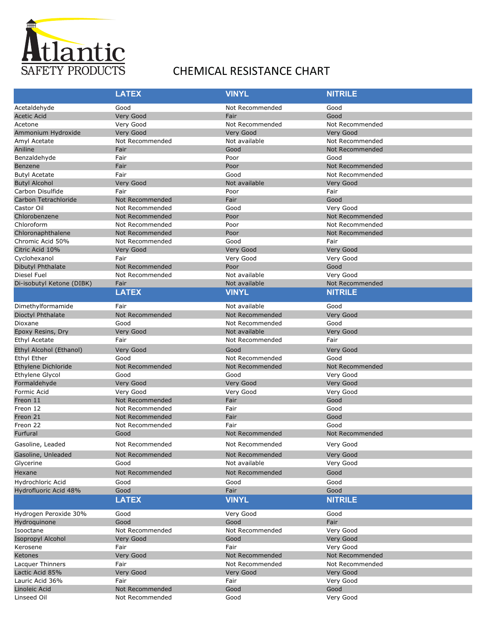

## SAFETY PRODUCTS CHEMICAL RESISTANCE CHART

|                           | <b>LATEX</b>           | <b>VINYL</b>    | <b>NITRILE</b>  |
|---------------------------|------------------------|-----------------|-----------------|
| Acetaldehyde              | Good                   | Not Recommended | Good            |
| <b>Acetic Acid</b>        | Very Good              | Fair            | Good            |
| Acetone                   | Very Good              | Not Recommended | Not Recommended |
| Ammonium Hydroxide        | Very Good              | Very Good       | Very Good       |
| Amyl Acetate              | Not Recommended        | Not available   | Not Recommended |
| Aniline                   | Fair                   | Good            | Not Recommended |
| Benzaldehyde              | Fair                   | Poor            | Good            |
| Benzene                   | Fair                   | Poor            | Not Recommended |
| <b>Butyl Acetate</b>      | Fair                   | Good            | Not Recommended |
| <b>Butyl Alcohol</b>      | <b>Very Good</b>       | Not available   | Very Good       |
| Carbon Disulfide          | Fair                   | Poor            | Fair            |
| Carbon Tetrachloride      | Not Recommended        | Fair            | Good            |
| Castor Oil                | Not Recommended        | Good            | Very Good       |
| Chlorobenzene             | Not Recommended        | Poor            | Not Recommended |
| Chloroform                | Not Recommended        | Poor            | Not Recommended |
| Chloronaphthalene         | Not Recommended        | Poor            | Not Recommended |
| Chromic Acid 50%          | Not Recommended        | Good            | Fair            |
| Citric Acid 10%           | Very Good              | Very Good       | Very Good       |
| Cyclohexanol              | Fair                   | Very Good       | Very Good       |
| Dibutyl Phthalate         | <b>Not Recommended</b> | Poor            | Good            |
| Diesel Fuel               | Not Recommended        | Not available   | Very Good       |
| Di-isobutyl Ketone (DIBK) | Fair                   | Not available   | Not Recommended |
|                           | <b>LATEX</b>           | <b>VINYL</b>    | <b>NITRILE</b>  |
| Dimethylformamide         | Fair                   | Not available   | Good            |
| Dioctyl Phthalate         | Not Recommended        | Not Recommended | Very Good       |
| Dioxane                   | Good                   | Not Recommended | Good            |
| Epoxy Resins, Dry         | Very Good              | Not available   | Very Good       |
| Ethyl Acetate             | Fair                   | Not Recommended | Fair            |
| Ethyl Alcohol (Ethanol)   | Very Good              | Good            | Very Good       |
| Ethyl Ether               | Good                   | Not Recommended | Good            |
| Ethylene Dichloride       | Not Recommended        | Not Recommended | Not Recommended |
| Ethylene Glycol           | Good                   | Good            | Very Good       |
| Formaldehyde              | Very Good              | Very Good       | Very Good       |
| Formic Acid               | Very Good              | Very Good       | Very Good       |
| Freon 11                  | Not Recommended        | Fair            | Good            |
| Freon 12                  | Not Recommended        | Fair            | Good            |
| Freon 21                  | Not Recommended        | Fair            | Good            |
| Freon 22                  | Not Recommended        | Fair            | Good            |
| Furfural                  | Good                   | Not Recommended | Not Recommended |
| Gasoline, Leaded          | Not Recommended        | Not Recommended | Very Good       |
| Gasoline, Unleaded        | Not Recommended        | Not Recommended | Very Good       |
| Glycerine                 | Good                   | Not available   | Very Good       |
| Hexane                    | Not Recommended        | Not Recommended | Good            |
| Hydrochloric Acid         | Good                   | Good            | Good            |
| Hydrofluoric Acid 48%     | Good                   | Fair            | Good            |
|                           | <b>LATEX</b>           | <b>VINYL</b>    | <b>NITRILE</b>  |
| Hydrogen Peroxide 30%     | Good                   | Very Good       | Good            |
| Hydroquinone              | Good                   | Good            | Fair            |
| Isooctane                 | Not Recommended        | Not Recommended | Very Good       |
| <b>Isopropyl Alcohol</b>  | Very Good              | Good            | Very Good       |
| Kerosene                  | Fair                   | Fair            | Very Good       |
| Ketones                   | Very Good              | Not Recommended | Not Recommended |
| Lacquer Thinners          | Fair                   | Not Recommended | Not Recommended |
| Lactic Acid 85%           | Very Good              | Very Good       | Very Good       |
| Lauric Acid 36%           | Fair                   | Fair            | Very Good       |
| Linoleic Acid             | Not Recommended        | Good            | Good            |
| Linseed Oil               | Not Recommended        | Good            | Very Good       |